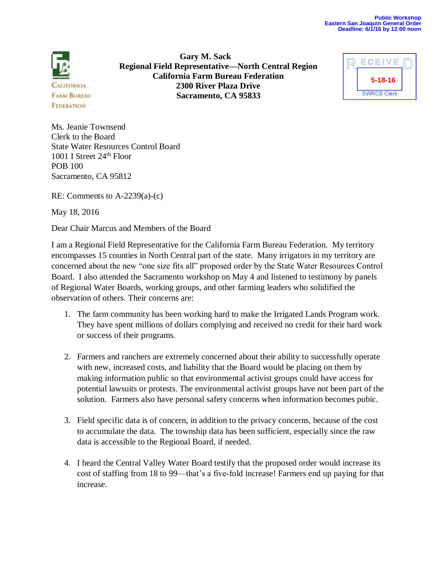

**Gary M. Sack Regional Field Representative—North Central Region California Farm Bureau Federation 2300 River Plaza Drive Sacramento, CA 95833**



Ms. Jeanie Townsend Clerk to the Board State Water Resources Control Board 1001 I Street 24<sup>th</sup> Floor POB 100 Sacramento, CA 95812

RE: Comments to A-2239(a)-(c)

May 18, 2016

Dear Chair Marcus and Members of the Board

I am a Regional Field Representative for the California Farm Bureau Federation. My territory encompasses 15 counties in North Central part of the state. Many irrigators in my territory are concerned about the new "one size fits all" proposed order by the State Water Resources Control Board. I also attended the Sacramento workshop on May 4 and listened to testimony by panels of Regional Water Boards, working groups, and other farming leaders who solidified the observation of others. Their concerns are:

- 1. The farm community has been working hard to make the Irrigated Lands Program work. They have spent millions of dollars complying and received no credit for their hard work or success of their programs.
- 2. Farmers and ranchers are extremely concerned about their ability to successfully operate with new, increased costs, and liability that the Board would be placing on them by making information public so that environmental activist groups could have access for potential lawsuits or protests. The environmental activist groups have not been part of the solution. Farmers also have personal safety concerns when information becomes pubic.
- 3. Field specific data is of concern, in addition to the privacy concerns, because of the cost to accumulate the data. The township data has been sufficient, especially since the raw data is accessible to the Regional Board, if needed.
- 4. I heard the Central Valley Water Board testify that the proposed order would increase its cost of staffing from 18 to 99—that's a five-fold increase! Farmers end up paying for that increase.